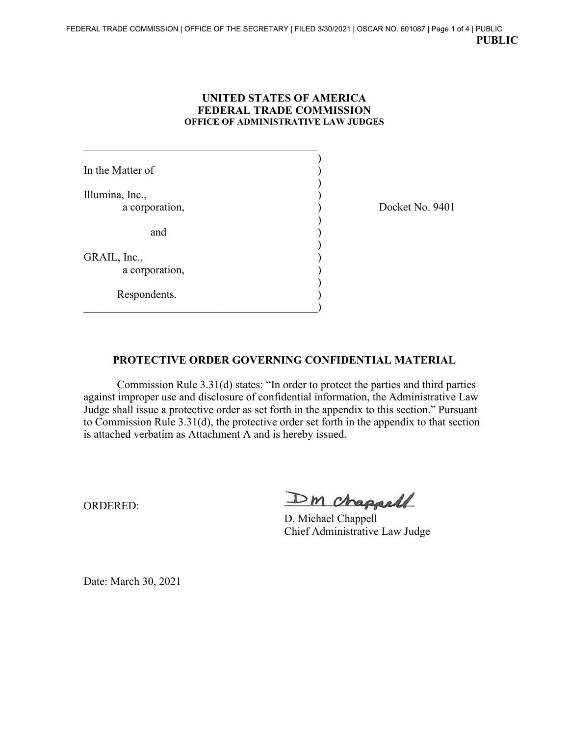## **UNITED STATES OF AMERICA FEDERAL TRADE COMMISSION OFFICE OF ADMINISTRATIVE LAW JUDGES**

) In the Matter of  $\qquad \qquad$  ) ) Illumina, Inc., ) a corporation,  $Docket No. 9401$ ) and ) ) GRAIL, Inc., ) a corporation, ) Respondents.

 $\hspace{.5cm}$   $\hspace{.5cm}$   $\hspace{.5cm}$   $\hspace{.5cm}$   $\hspace{.5cm}$   $\hspace{.5cm}$   $\hspace{.5cm}$   $\hspace{.5cm}$   $\hspace{.5cm}$   $\hspace{.5cm}$   $\hspace{.5cm}$   $\hspace{.5cm}$   $\hspace{.5cm}$   $\hspace{.5cm}$   $\hspace{.5cm}$   $\hspace{.5cm}$   $\hspace{.5cm}$   $\hspace{.5cm}$   $\hspace{.5cm}$   $\hspace{.5cm}$ 

## **PROTECTIVE ORDER GOVERNING CONFIDENTIAL MATERIAL**

Commission Rule 3.31(d) states: "In order to protect the parties and third parties against improper use and disclosure of confidential information, the Administrative Law Judge shall issue a protective order as set forth in the appendix to this section." Pursuant to Commission Rule 3.31(d), the protective order set forth in the appendix to that section is attached verbatim as Attachment A and is hereby issued.

ORDERED:

Dm chappell

D. Michael Chappell Chief Administrative Law Judge

Date: March 30, 2021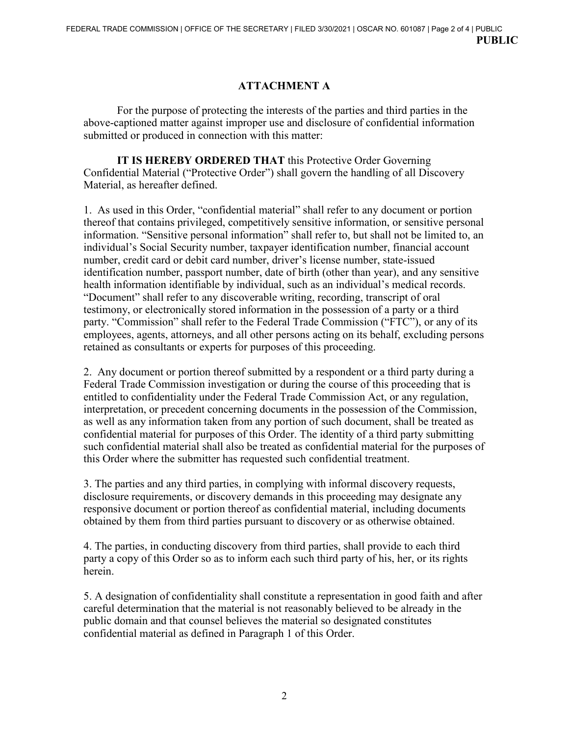## **ATTACHMENT A**

 For the purpose of protecting the interests of the parties and third parties in the above-captioned matter against improper use and disclosure of confidential information submitted or produced in connection with this matter:

**IT IS HEREBY ORDERED THAT** this Protective Order Governing Confidential Material ("Protective Order") shall govern the handling of all Discovery Material, as hereafter defined.

1. As used in this Order, "confidential material" shall refer to any document or portion thereof that contains privileged, competitively sensitive information, or sensitive personal information. "Sensitive personal information" shall refer to, but shall not be limited to, an individual's Social Security number, taxpayer identification number, financial account number, credit card or debit card number, driver's license number, state-issued identification number, passport number, date of birth (other than year), and any sensitive health information identifiable by individual, such as an individual's medical records. "Document" shall refer to any discoverable writing, recording, transcript of oral testimony, or electronically stored information in the possession of a party or a third party. "Commission" shall refer to the Federal Trade Commission ("FTC"), or any of its employees, agents, attorneys, and all other persons acting on its behalf, excluding persons retained as consultants or experts for purposes of this proceeding.

2. Any document or portion thereof submitted by a respondent or a third party during a Federal Trade Commission investigation or during the course of this proceeding that is entitled to confidentiality under the Federal Trade Commission Act, or any regulation, interpretation, or precedent concerning documents in the possession of the Commission, as well as any information taken from any portion of such document, shall be treated as confidential material for purposes of this Order. The identity of a third party submitting such confidential material shall also be treated as confidential material for the purposes of this Order where the submitter has requested such confidential treatment.

3. The parties and any third parties, in complying with informal discovery requests, disclosure requirements, or discovery demands in this proceeding may designate any responsive document or portion thereof as confidential material, including documents obtained by them from third parties pursuant to discovery or as otherwise obtained.

4. The parties, in conducting discovery from third parties, shall provide to each third party a copy of this Order so as to inform each such third party of his, her, or its rights herein.

5. A designation of confidentiality shall constitute a representation in good faith and after careful determination that the material is not reasonably believed to be already in the public domain and that counsel believes the material so designated constitutes confidential material as defined in Paragraph 1 of this Order.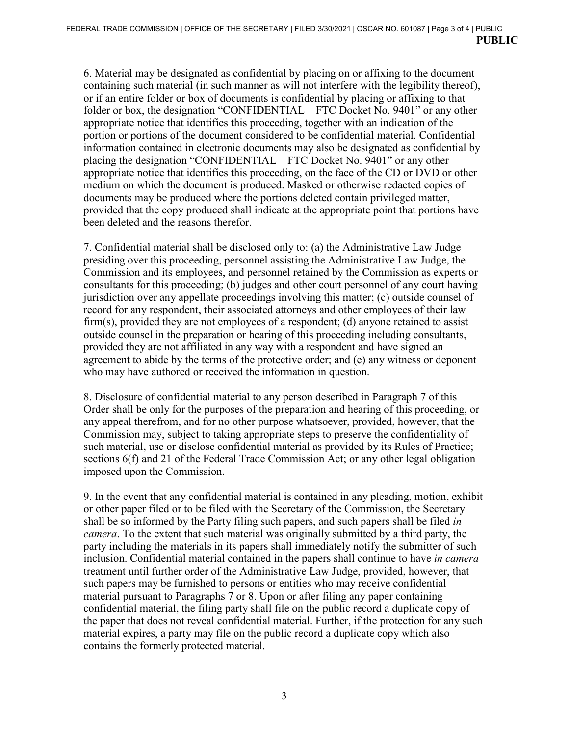6. Material may be designated as confidential by placing on or affixing to the document containing such material (in such manner as will not interfere with the legibility thereof), or if an entire folder or box of documents is confidential by placing or affixing to that folder or box, the designation "CONFIDENTIAL – FTC Docket No. 9401" or any other appropriate notice that identifies this proceeding, together with an indication of the portion or portions of the document considered to be confidential material. Confidential information contained in electronic documents may also be designated as confidential by placing the designation "CONFIDENTIAL – FTC Docket No. 9401" or any other appropriate notice that identifies this proceeding, on the face of the CD or DVD or other medium on which the document is produced. Masked or otherwise redacted copies of documents may be produced where the portions deleted contain privileged matter, provided that the copy produced shall indicate at the appropriate point that portions have been deleted and the reasons therefor.

7. Confidential material shall be disclosed only to: (a) the Administrative Law Judge presiding over this proceeding, personnel assisting the Administrative Law Judge, the Commission and its employees, and personnel retained by the Commission as experts or consultants for this proceeding; (b) judges and other court personnel of any court having jurisdiction over any appellate proceedings involving this matter; (c) outside counsel of record for any respondent, their associated attorneys and other employees of their law firm(s), provided they are not employees of a respondent; (d) anyone retained to assist outside counsel in the preparation or hearing of this proceeding including consultants, provided they are not affiliated in any way with a respondent and have signed an agreement to abide by the terms of the protective order; and (e) any witness or deponent who may have authored or received the information in question.

8. Disclosure of confidential material to any person described in Paragraph 7 of this Order shall be only for the purposes of the preparation and hearing of this proceeding, or any appeal therefrom, and for no other purpose whatsoever, provided, however, that the Commission may, subject to taking appropriate steps to preserve the confidentiality of such material, use or disclose confidential material as provided by its Rules of Practice; sections 6(f) and 21 of the Federal Trade Commission Act; or any other legal obligation imposed upon the Commission.

9. In the event that any confidential material is contained in any pleading, motion, exhibit or other paper filed or to be filed with the Secretary of the Commission, the Secretary shall be so informed by the Party filing such papers, and such papers shall be filed *in camera*. To the extent that such material was originally submitted by a third party, the party including the materials in its papers shall immediately notify the submitter of such inclusion. Confidential material contained in the papers shall continue to have *in camera* treatment until further order of the Administrative Law Judge, provided, however, that such papers may be furnished to persons or entities who may receive confidential material pursuant to Paragraphs 7 or 8. Upon or after filing any paper containing confidential material, the filing party shall file on the public record a duplicate copy of the paper that does not reveal confidential material. Further, if the protection for any such material expires, a party may file on the public record a duplicate copy which also contains the formerly protected material.